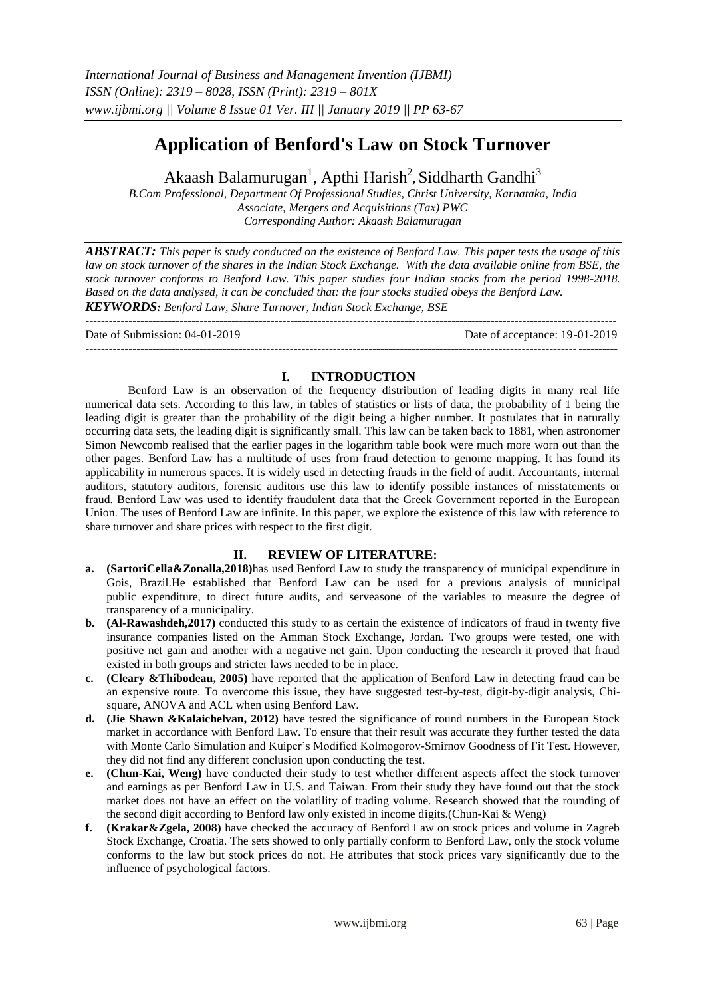# **Application of Benford's Law on Stock Turnover**

Akaash Balamurugan<sup>1</sup>, Apthi Harish<sup>2</sup>, Siddharth Gandhi<sup>3</sup>

*B.Com Professional, Department Of Professional Studies, Christ University, Karnataka, India Associate, Mergers and Acquisitions (Tax) PWC Corresponding Author: Akaash Balamurugan*

*ABSTRACT: This paper is study conducted on the existence of Benford Law. This paper tests the usage of this law on stock turnover of the shares in the Indian Stock Exchange. With the data available online from BSE, the stock turnover conforms to Benford Law. This paper studies four Indian stocks from the period 1998-2018. Based on the data analysed, it can be concluded that: the four stocks studied obeys the Benford Law.* 

*KEYWORDS: Benford Law, Share Turnover, Indian Stock Exchange, BSE*

 $-1.1$ Date of Submission: 04-01-2019 Date of acceptance: 19-01-2019 ---------------------------------------------------------------------------------------------------------------------------------------

# **I. INTRODUCTION**

Benford Law is an observation of the frequency distribution of leading digits in many real life numerical data sets. According to this law, in tables of statistics or lists of data, the probability of 1 being the leading digit is greater than the probability of the digit being a higher number. It postulates that in naturally occurring data sets, the leading digit is significantly small. This law can be taken back to 1881, when astronomer Simon Newcomb realised that the earlier pages in the logarithm table book were much more worn out than the other pages. Benford Law has a multitude of uses from fraud detection to genome mapping. It has found its applicability in numerous spaces. It is widely used in detecting frauds in the field of audit. Accountants, internal auditors, statutory auditors, forensic auditors use this law to identify possible instances of misstatements or fraud. Benford Law was used to identify fraudulent data that the Greek Government reported in the European Union. The uses of Benford Law are infinite. In this paper, we explore the existence of this law with reference to share turnover and share prices with respect to the first digit.

## **II. REVIEW OF LITERATURE:**

- **a. (SartoriCella&Zonalla,2018)**has used Benford Law to study the transparency of municipal expenditure in Gois, Brazil.He established that Benford Law can be used for a previous analysis of municipal public expenditure, to direct future audits, and serveasone of the variables to measure the degree of transparency of a municipality.
- **b. (Al-Rawashdeh,2017)** conducted this study to as certain the existence of indicators of fraud in twenty five insurance companies listed on the Amman Stock Exchange, Jordan. Two groups were tested, one with positive net gain and another with a negative net gain. Upon conducting the research it proved that fraud existed in both groups and stricter laws needed to be in place.
- **c. (Cleary &Thibodeau, 2005)** have reported that the application of Benford Law in detecting fraud can be an expensive route. To overcome this issue, they have suggested test-by-test, digit-by-digit analysis, Chisquare, ANOVA and ACL when using Benford Law.
- **d. (Jie Shawn &Kalaichelvan, 2012)** have tested the significance of round numbers in the European Stock market in accordance with Benford Law. To ensure that their result was accurate they further tested the data with Monte Carlo Simulation and Kuiper's Modified Kolmogorov-Smirnov Goodness of Fit Test. However, they did not find any different conclusion upon conducting the test.
- **e. (Chun-Kai, Weng)** have conducted their study to test whether different aspects affect the stock turnover and earnings as per Benford Law in U.S. and Taiwan. From their study they have found out that the stock market does not have an effect on the volatility of trading volume. Research showed that the rounding of the second digit according to Benford law only existed in income digits.(Chun-Kai & Weng)
- **f. (Krakar&Zgela, 2008)** have checked the accuracy of Benford Law on stock prices and volume in Zagreb Stock Exchange, Croatia. The sets showed to only partially conform to Benford Law, only the stock volume conforms to the law but stock prices do not. He attributes that stock prices vary significantly due to the influence of psychological factors.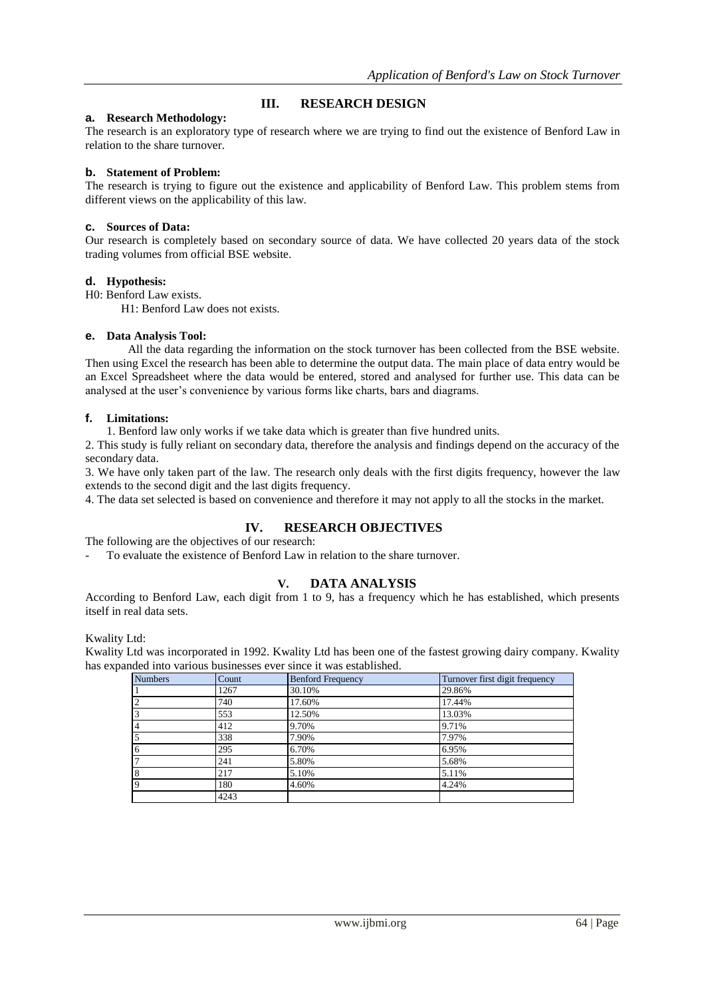# **III. RESEARCH DESIGN**

#### **a. Research Methodology:**

The research is an exploratory type of research where we are trying to find out the existence of Benford Law in relation to the share turnover.

#### **b. Statement of Problem:**

The research is trying to figure out the existence and applicability of Benford Law. This problem stems from different views on the applicability of this law.

#### **c. Sources of Data:**

Our research is completely based on secondary source of data. We have collected 20 years data of the stock trading volumes from official BSE website.

#### **d. Hypothesis:**

H0: Benford Law exists.

H1: Benford Law does not exists.

## **e. Data Analysis Tool:**

All the data regarding the information on the stock turnover has been collected from the BSE website. Then using Excel the research has been able to determine the output data. The main place of data entry would be an Excel Spreadsheet where the data would be entered, stored and analysed for further use. This data can be analysed at the user's convenience by various forms like charts, bars and diagrams.

#### **f. Limitations:**

1. Benford law only works if we take data which is greater than five hundred units.

2. This study is fully reliant on secondary data, therefore the analysis and findings depend on the accuracy of the secondary data.

3. We have only taken part of the law. The research only deals with the first digits frequency, however the law extends to the second digit and the last digits frequency.

4. The data set selected is based on convenience and therefore it may not apply to all the stocks in the market.

## **IV. RESEARCH OBJECTIVES**

The following are the objectives of our research:

- To evaluate the existence of Benford Law in relation to the share turnover.

## **V. DATA ANALYSIS**

According to Benford Law, each digit from 1 to 9, has a frequency which he has established, which presents itself in real data sets.

Kwality Ltd:

Kwality Ltd was incorporated in 1992. Kwality Ltd has been one of the fastest growing dairy company. Kwality has expanded into various businesses ever since it was established.

| <b>Numbers</b> | Count | <b>Benford Frequency</b> | Turnover first digit frequency |
|----------------|-------|--------------------------|--------------------------------|
|                | 1267  | 30.10%                   | 29.86%                         |
| $\overline{2}$ | 740   | 17.60%                   | 17.44%                         |
| 3              | 553   | 12.50%                   | 13.03%                         |
| 4              | 412   | 9.70%                    | 9.71%                          |
| 5              | 338   | 7.90%                    | 7.97%                          |
| 6              | 295   | 6.70%                    | 6.95%                          |
|                | 241   | 5.80%                    | 5.68%                          |
| 8              | 217   | 5.10%                    | 5.11%                          |
| $\overline{9}$ | 180   | 4.60%                    | 4.24%                          |
|                | 4243  |                          |                                |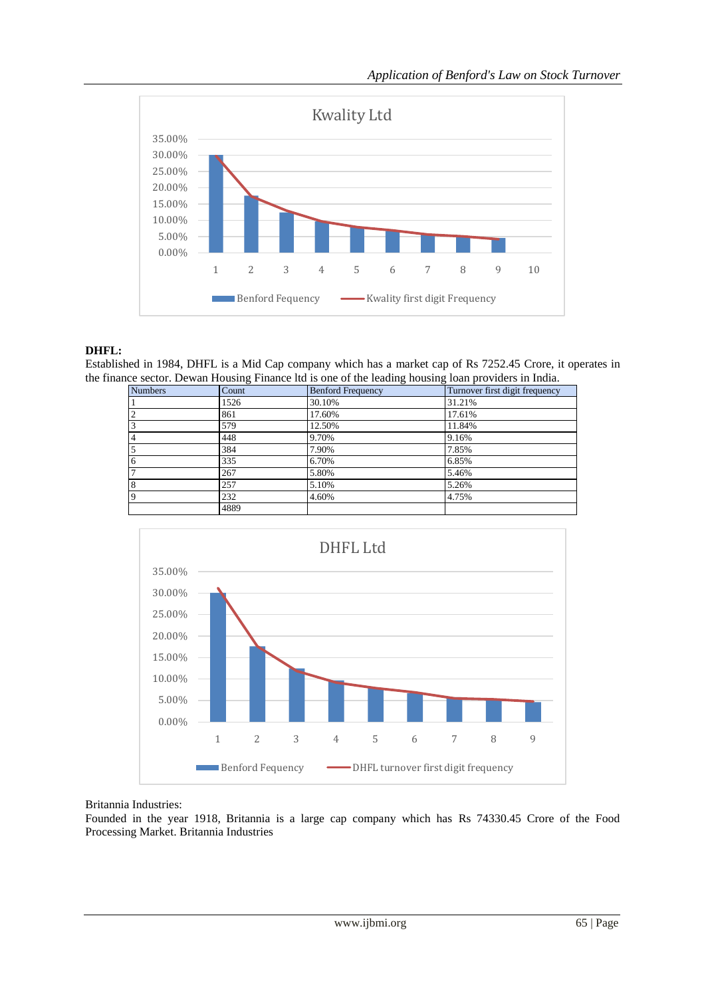

# **DHFL:**

Established in 1984, DHFL is a Mid Cap company which has a market cap of Rs 7252.45 Crore, it operates in the finance sector. Dewan Housing Finance ltd is one of the leading housing loan providers in India.

| <b>Numbers</b> | ັ<br>Count | ັ<br>ັ<br><b>Benford Frequency</b> | Turnover first digit frequency |
|----------------|------------|------------------------------------|--------------------------------|
|                | 1526       | 30.10%                             | 31.21%                         |
| $\overline{2}$ | 861        | 17.60%                             | 17.61%                         |
| 3              | 579        | 12.50%                             | 11.84%                         |
| $\overline{4}$ | 448        | 9.70%                              | 9.16%                          |
| $\overline{5}$ | 384        | 7.90%                              | 7.85%                          |
| 6              | 335        | 6.70%                              | 6.85%                          |
| 17             | 267        | 5.80%                              | 5.46%                          |
| 8              | 257        | 5.10%                              | 5.26%                          |
| $\overline{9}$ | 232        | 4.60%                              | 4.75%                          |
|                | 4889       |                                    |                                |



## Britannia Industries:

Founded in the year 1918, Britannia is a large cap company which has Rs 74330.45 Crore of the Food Processing Market. Britannia Industries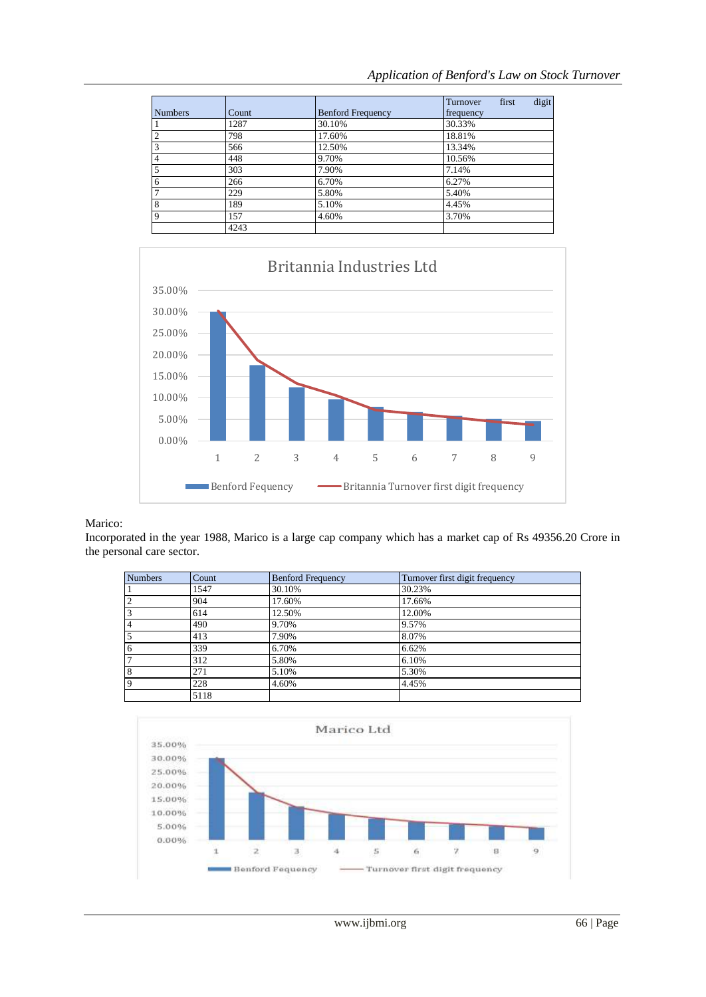## *Application of Benford's Law on Stock Turnover*

|                |       |                          | digit<br>Turnover<br>first |
|----------------|-------|--------------------------|----------------------------|
| <b>Numbers</b> | Count | <b>Benford Frequency</b> | frequency                  |
|                | 1287  | 30.10%                   | 30.33%                     |
|                | 798   | 17.60%                   | 18.81%                     |
|                | 566   | 12.50%                   | 13.34%                     |
|                | 448   | 9.70%                    | 10.56%                     |
|                | 303   | 7.90%                    | 7.14%                      |
| 6              | 266   | 6.70%                    | 6.27%                      |
|                | 229   | 5.80%                    | 5.40%                      |
| 8              | 189   | 5.10%                    | 4.45%                      |
| Q              | 157   | 4.60%                    | 3.70%                      |
|                | 4243  |                          |                            |



#### Marico:

Incorporated in the year 1988, Marico is a large cap company which has a market cap of Rs 49356.20 Crore in the personal care sector.

| <b>Numbers</b> | Count | <b>Benford Frequency</b> | Turnover first digit frequency |
|----------------|-------|--------------------------|--------------------------------|
|                | 1547  | 30.10%                   | 30.23%                         |
| 2              | 904   | 17.60%                   | 17.66%                         |
| $\overline{3}$ | 614   | 12.50%                   | 12.00%                         |
| $\overline{4}$ | 490   | 9.70%                    | 9.57%                          |
| 5              | 413   | 7.90%                    | 8.07%                          |
| $\overline{6}$ | 339   | 6.70%                    | 6.62%                          |
| 17             | 312   | 5.80%                    | 6.10%                          |
| 8              | 271   | 5.10%                    | 5.30%                          |
| $\overline{9}$ | 228   | 4.60%                    | 4.45%                          |
|                | 5118  |                          |                                |